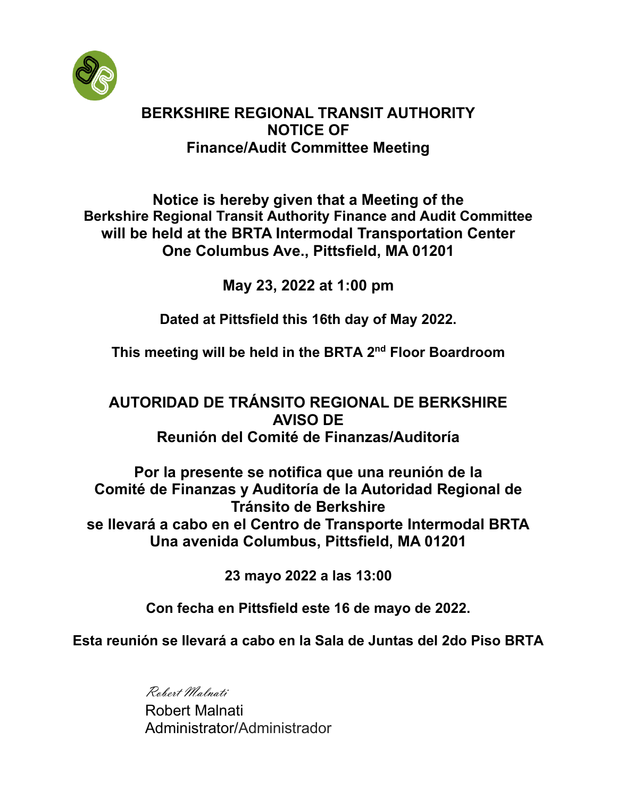

# **BERKSHIRE REGIONAL TRANSIT AUTHORITY NOTICE OF Finance/Audit Committee Meeting**

**Notice is hereby given that a Meeting of the Berkshire Regional Transit Authority Finance and Audit Committee will be held at the BRTA Intermodal Transportation Center One Columbus Ave., Pittsfield, MA 01201**

**May 23, 2022 at 1:00 pm** 

**Dated at Pittsfield this 16th day of May 2022.**

**This meeting will be held in the BRTA 2 nd Floor Boardroom**

# **AUTORIDAD DE TRÁNSITO REGIONAL DE BERKSHIRE AVISO DE Reunión del Comité de Finanzas/Auditoría**

**Por la presente se notifica que una reunión de la Comité de Finanzas y Auditoría de la Autoridad Regional de Tránsito de Berkshire se llevará a cabo en el Centro de Transporte Intermodal BRTA Una avenida Columbus, Pittsfield, MA 01201**

**23 mayo 2022 a las 13:00**

**Con fecha en Pittsfield este 16 de mayo de 2022.**

**Esta reunión se llevará a cabo en la Sala de Juntas del 2do Piso BRTA**

Robert Malnati

Robert Malnati Administrator/Administrador